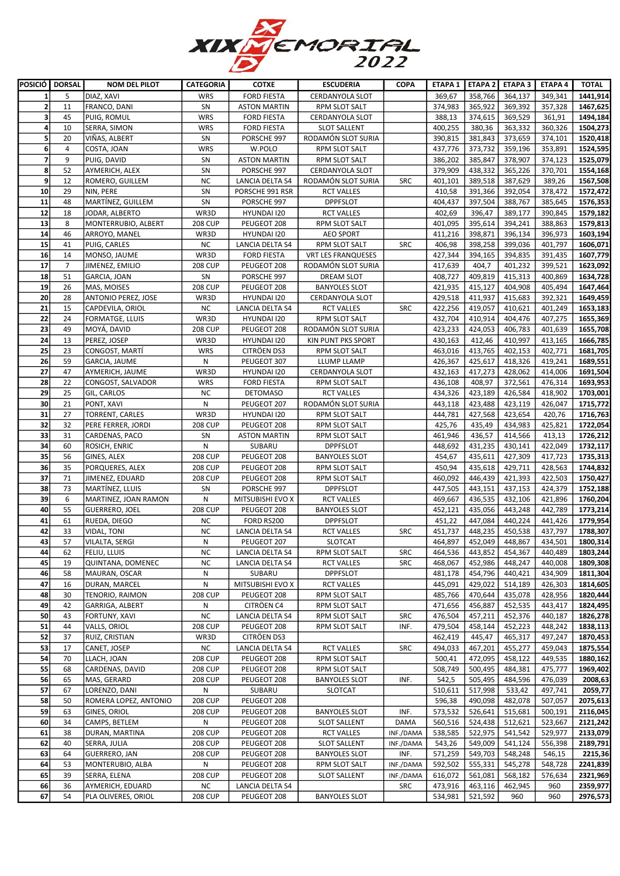

|                         | POSICIÓ DORSAL          | <b>NOM DEL PILOT</b>   | <b>CATEGORIA</b> | <b>COTXE</b>        | <b>ESCUDERIA</b>          | <b>COPA</b> |         |         | ETAPA 1   ETAPA 2   ETAPA 3 | <b>ETAPA 4</b> | <b>TOTAL</b> |
|-------------------------|-------------------------|------------------------|------------------|---------------------|---------------------------|-------------|---------|---------|-----------------------------|----------------|--------------|
| 1                       | 5                       | DIAZ, XAVI             | <b>WRS</b>       | <b>FORD FIESTA</b>  | <b>CERDANYOLA SLOT</b>    |             | 369,67  | 358,766 | 364,137                     | 349,341        | 1441,914     |
| $\overline{2}$          | 11                      | FRANCO, DANI           | SN               | <b>ASTON MARTIN</b> | RPM SLOT SALT             |             | 374,983 | 365,922 | 369,392                     | 357,328        | 1467,625     |
| 3                       | 45                      | PUIG, ROMUL            | <b>WRS</b>       | <b>FORD FIESTA</b>  | <b>CERDANYOLA SLOT</b>    |             | 388,13  | 374,615 | 369,529                     | 361,91         | 1494,184     |
| 4                       | 10                      | SERRA, SIMON           | <b>WRS</b>       | <b>FORD FIESTA</b>  | <b>SLOT SALLENT</b>       |             | 400,255 | 380,36  | 363,332                     | 360,326        | 1504,273     |
| 5 <sub>5</sub>          | 20                      | VIÑAS, ALBERT          | SN               | PORSCHE 997         | RODAMÓN SLOT SURIA        |             | 390,815 | 381,843 | 373,659                     | 374,101        | 1520,418     |
| 6                       | $\overline{\mathbf{4}}$ | COSTA, JOAN            | <b>WRS</b>       | W.POLO              | RPM SLOT SALT             |             | 437,776 | 373,732 | 359,196                     | 353,891        | 1524,595     |
| $\overline{\mathbf{z}}$ | 9                       | PUIG, DAVID            | SN               | <b>ASTON MARTIN</b> | RPM SLOT SALT             |             | 386,202 | 385,847 | 378,907                     | 374,123        | 1525,079     |
|                         |                         |                        |                  |                     |                           |             |         |         |                             |                |              |
| 8                       | 52                      | AYMERICH, ALEX         | SN               | PORSCHE 997         | CERDANYOLA SLOT           |             | 379,909 | 438,332 | 365,226                     | 370,701        | 1554,168     |
| 9                       | 12                      | ROMERO, GUILLEM        | <b>NC</b>        | LANCIA DELTA S4     | RODAMÓN SLOT SURIA        | <b>SRC</b>  | 401,101 | 389,518 | 387,629                     | 389,26         | 1567,508     |
| 10                      | 29                      | NIN, PERE              | SN               | PORSCHE 991 RSR     | <b>RCT VALLES</b>         |             | 410,58  | 391,366 | 392,054                     | 378,472        | 1572,472     |
| 11                      | 48                      | MARTÍNEZ, GUILLEM      | SN               | PORSCHE 997         | <b>DPPFSLOT</b>           |             | 404,437 | 397,504 | 388,767                     | 385,645        | 1576,353     |
| 12                      | 18                      | JODAR, ALBERTO         | WR3D             | HYUNDAI 120         | <b>RCT VALLES</b>         |             | 402,69  | 396,47  | 389,177                     | 390,845        | 1579,182     |
| 13                      | 8                       | MONTERRUBIO, ALBERT    | <b>208 CUP</b>   | PEUGEOT 208         | <b>RPM SLOT SALT</b>      |             | 401,095 | 395,614 | 394,241                     | 388,863        | 1579,813     |
| 14                      | 46                      | ARROYO, MANEL          | WR3D             | HYUNDAI 120         | <b>AEO SPORT</b>          |             | 411,216 | 398,871 | 396,134                     | 396,973        | 1603,194     |
| 15                      | 41                      | PUIG, CARLES           | <b>NC</b>        | LANCIA DELTA S4     | RPM SLOT SALT             | <b>SRC</b>  | 406,98  | 398,258 | 399,036                     | 401,797        | 1606,071     |
| 16                      | 14                      | MONSO, JAUME           | WR3D             | <b>FORD FIESTA</b>  | <b>VRT LES FRANQUESES</b> |             | 427,344 | 394,165 | 394,835                     | 391,435        | 1607,779     |
| 17                      | $\overline{7}$          | JIMENEZ, EMILIO        | <b>208 CUP</b>   | PEUGEOT 208         | RODAMÓN SLOT SURIA        |             | 417,639 | 404,7   | 401,232                     | 399,521        | 1623,092     |
| 18                      | 51                      | GARCIA, JOAN           | SN               | PORSCHE 997         | DREAM SLOT                |             | 408,727 | 409,819 | 415,313                     | 400,869        | 1634,728     |
| 19                      | 26                      | MAS, MOISES            | <b>208 CUP</b>   | PEUGEOT 208         | <b>BANYOLES SLOT</b>      |             | 421,935 | 415,127 | 404,908                     | 405,494        | 1647,464     |
| 20                      | 28                      | ANTONIO PEREZ, JOSE    | WR3D             | HYUNDAI 120         | <b>CERDANYOLA SLOT</b>    |             | 429,518 | 411,937 | 415,683                     | 392,321        | 1649,459     |
| 21                      | 15                      | CAPDEVILA, ORIOL       | <b>NC</b>        | LANCIA DELTA S4     | <b>RCT VALLES</b>         | <b>SRC</b>  | 422,256 | 419,057 | 410,621                     | 401,249        | 1653,183     |
| 22                      | 24                      | <b>FORMATGE, LLUIS</b> | WR3D             | HYUNDAI 120         | RPM SLOT SALT             |             | 432,704 | 410,914 | 404,476                     | 407,275        | 1655,369     |
| 23                      | 49                      | MOYÁ, DAVID            | <b>208 CUP</b>   | PEUGEOT 208         | RODAMÓN SLOT SURIA        |             | 423,233 | 424,053 | 406,783                     | 401,639        | 1655,708     |
| 24                      | 13                      | PEREZ, JOSEP           | WR3D             | HYUNDAI 120         | KIN PUNT PKS SPORT        |             | 430,163 | 412,46  | 410,997                     | 413,165        | 1666,785     |
| 25                      | 23                      | CONGOST, MARTI         | <b>WRS</b>       | CITRÖEN DS3         | RPM SLOT SALT             |             | 463,016 | 413,765 | 402,153                     | 402,771        | 1681,705     |
| 26                      | 59                      | GARCIA, JAUME          | ${\sf N}$        | PEUGEOT 307         | LLUMP LLAMP               |             | 426,367 | 425,617 | 418,326                     | 419,241        | 1689,551     |
| 27                      | 47                      | AYMERICH, JAUME        | WR3D             | HYUNDAI 120         | CERDANYOLA SLOT           |             | 432,163 | 417,273 | 428,062                     | 414,006        | 1691,504     |
|                         |                         |                        |                  |                     |                           |             |         |         |                             |                |              |
| 28                      | 22                      | CONGOST, SALVADOR      | <b>WRS</b>       | <b>FORD FIESTA</b>  | RPM SLOT SALT             |             | 436,108 | 408,97  | 372,561                     | 476,314        | 1693,953     |
| 29                      | 25                      | GIL, CARLOS            | <b>NC</b>        | <b>DETOMASO</b>     | <b>RCT VALLES</b>         |             | 434,326 | 423,189 | 426,584                     | 418,902        | 1703,001     |
| 30                      | 21                      | PONT, XAVI             | N                | PEUGEOT 207         | RODAMÓN SLOT SURIA        |             | 443,118 | 423,488 | 423,119                     | 426,047        | 1715,772     |
| 31                      | 27                      | <b>TORRENT, CARLES</b> | WR3D             | HYUNDAI 120         | RPM SLOT SALT             |             | 444,781 | 427,568 | 423,654                     | 420,76         | 1716,763     |
| 32                      | 32                      | PERE FERRER, JORDI     | <b>208 CUP</b>   | PEUGEOT 208         | RPM SLOT SALT             |             | 425,76  | 435,49  | 434,983                     | 425,821        | 1722,054     |
| 33                      | 31                      | CARDENAS, PACO         | SN               | <b>ASTON MARTIN</b> | RPM SLOT SALT             |             | 461,946 | 436,57  | 414,566                     | 413,13         | 1726,212     |
| 34                      | 60                      | ROSICH, ENRIC          | N                | SUBARU              | <b>DPPFSLOT</b>           |             | 448,692 | 431,235 | 430,141                     | 422,049        | 1732,117     |
| 35                      | 56                      | GINES, ALEX            | <b>208 CUP</b>   | PEUGEOT 208         | <b>BANYOLES SLOT</b>      |             | 454,67  | 435,611 | 427,309                     | 417,723        | 1735,313     |
| 36                      | 35                      | PORQUERES, ALEX        | <b>208 CUP</b>   | PEUGEOT 208         | RPM SLOT SALT             |             | 450,94  | 435,618 | 429,711                     | 428,563        | 1744,832     |
| 37                      | 71                      | JIMENEZ, EDUARD        | <b>208 CUP</b>   | PEUGEOT 208         | RPM SLOT SALT             |             | 460,092 | 446,439 | 421,393                     | 422,503        | 1750,427     |
| 38                      | 73                      | MARTÍNEZ, LLUIS        | SN               | PORSCHE 997         | <b>DPPFSLOT</b>           |             | 447,505 | 443,151 | 437,153                     | 424,379        | 1752,188     |
| 39                      | 6                       | MARTINEZ, JOAN RAMON   | N                | MITSUBISHI EVO X    | <b>RCT VALLES</b>         |             | 469,667 | 436,535 | 432,106                     | 421,896        | 1760,204     |
| 40                      | 55                      | <b>GUERRERO, JOEL</b>  | <b>208 CUP</b>   | PEUGEOT 208         | <b>BANYOLES SLOT</b>      |             | 452,121 | 435,056 | 443,248                     | 442,789        | 1773,214     |
| 41                      | 61                      | RUEDA, DIEGO           | NC.              | FORD RS200          | <b>DPPFSLOT</b>           |             | 451,22  | 447,084 | 440,224                     | 441,426        | 1779,954     |
| 42                      | 33                      | VIDAL, TONI            | <b>NC</b>        | LANCIA DELTA S4     | <b>RCT VALLES</b>         | <b>SRC</b>  | 451,737 | 448,235 | 450,538                     | 437,797        | 1788,307     |
| 43                      | 57                      | VILALTA, SERGI         | N                | PEUGEOT 207         | <b>SLOTCAT</b>            |             | 464,897 | 452,049 | 448,867                     | 434,501        | 1800,314     |
| 44                      | 62                      | <b>FELIU, LLUIS</b>    | ΝC               | LANCIA DELTA S4     | RPM SLOT SALT             | SRC         | 464,536 | 443,852 | 454,367                     | 440,489        | 1803,244     |
| 45                      | 19                      | QUINTANA, DOMENEC      | <b>NC</b>        | LANCIA DELTA S4     | <b>RCT VALLES</b>         | <b>SRC</b>  | 468,067 | 452,986 | 448,247                     | 440,008        | 1809,308     |
|                         |                         |                        |                  |                     |                           |             |         |         |                             |                |              |
| 46                      | 58                      | MAURAN, OSCAR          | Ν                | SUBARU              | <b>DPPFSLOT</b>           |             | 481,178 | 454,796 | 440,421                     | 434,909        | 1811,304     |
| 47                      | 16                      | DURAN, MARCEL          | N                | MITSUBISHI EVO X    | <b>RCT VALLES</b>         |             | 445,091 | 429,022 | 514,189                     | 426,303        | 1814,605     |
| 48                      | 30                      | TENORIO, RAIMON        | <b>208 CUP</b>   | PEUGEOT 208         | RPM SLOT SALT             |             | 485,766 | 470,644 | 435,078                     | 428,956        | 1820,444     |
| 49                      | 42                      | GARRIGA, ALBERT        | Ν                | CITRÖEN C4          | RPM SLOT SALT             |             | 471,656 | 456,887 | 452,535                     | 443,417        | 1824,495     |
| 50                      | 43                      | FORTUNY, XAVI          | <b>NC</b>        | LANCIA DELTA S4     | RPM SLOT SALT             | <b>SRC</b>  | 476,504 | 457,211 | 452,376                     | 440,187        | 1826,278     |
| 51                      | 44                      | VALLS, ORIOL           | <b>208 CUP</b>   | PEUGEOT 208         | RPM SLOT SALT             | INF.        | 479,504 | 458,144 | 452,223                     | 448,242        | 1838,113     |
| 52                      | 37                      | RUIZ, CRISTIAN         | WR3D             | CITRÖEN DS3         |                           |             | 462,419 | 445,47  | 465,317                     | 497,247        | 1870,453     |
| 53                      | 17                      | CANET, JOSEP           | NC               | LANCIA DELTA S4     | <b>RCT VALLES</b>         | <b>SRC</b>  | 494,033 | 467,201 | 455,277                     | 459,043        | 1875,554     |
| 54                      | 70                      | LLACH, JOAN            | <b>208 CUP</b>   | PEUGEOT 208         | RPM SLOT SALT             |             | 500,41  | 472,095 | 458,122                     | 449,535        | 1880,162     |
| 55                      | 68                      | CARDENAS, DAVID        | <b>208 CUP</b>   | PEUGEOT 208         | RPM SLOT SALT             |             | 508,749 | 500,495 | 484,381                     | 475,777        | 1969,402     |
| 56                      | 65                      | MAS, GERARD            | <b>208 CUP</b>   | PEUGEOT 208         | <b>BANYOLES SLOT</b>      | INF.        | 542,5   | 505,495 | 484,596                     | 476,039        | 2008,63      |
| 57                      | 67                      | LORENZO, DANI          | N                | SUBARU              | <b>SLOTCAT</b>            |             | 510,611 | 517,998 | 533,42                      | 497,741        | 2059,77      |
| 58                      | 50                      | ROMERA LOPEZ, ANTONIO  | <b>208 CUP</b>   | PEUGEOT 208         |                           |             | 596,38  | 490,098 | 482,078                     | 507,057        | 2075,613     |
| 59                      | 63                      | GINES, ORIOL           | <b>208 CUP</b>   | PEUGEOT 208         | <b>BANYOLES SLOT</b>      | INF.        | 573,532 | 526,641 | 515,681                     | 500,191        | 2116,045     |
| 60                      | 34                      | CAMPS, BETLEM          | Ν                | PEUGEOT 208         | <b>SLOT SALLENT</b>       | DAMA        | 560,516 | 524,438 | 512,621                     | 523,667        | 2121,242     |
| 61                      | 38                      | DURAN, MARTINA         | <b>208 CUP</b>   | PEUGEOT 208         | <b>RCT VALLES</b>         | INF./DAMA   | 538,585 | 522,975 | 541,542                     | 529,977        | 2133,079     |
| 62                      | 40                      | SERRA, JULIA           | <b>208 CUP</b>   | PEUGEOT 208         | <b>SLOT SALLENT</b>       | INF./DAMA   | 543,26  | 549,009 | 541,124                     | 556,398        | 2189,791     |
| 63                      | 64                      | <b>GUERRERO, JAN</b>   | <b>208 CUP</b>   | PEUGEOT 208         | <b>BANYOLES SLOT</b>      | INF.        | 571,259 | 549,703 | 548,248                     | 546,15         | 2215,36      |
| 64                      | 53                      | MONTERUBIO, ALBA       | Ν                | PEUGEOT 208         | RPM SLOT SALT             | INF./DAMA   | 592,502 | 555,331 | 545,278                     | 548,728        | 2241,839     |
| 65                      | 39                      | SERRA, ELENA           | <b>208 CUP</b>   | PEUGEOT 208         | <b>SLOT SALLENT</b>       | INF./DAMA   | 616,072 | 561,081 | 568,182                     | 576,634        | 2321,969     |
| 66                      | 36                      | AYMERICH, EDUARD       | NC               | LANCIA DELTA S4     |                           | SRC         | 473,916 | 463,116 | 462,945                     | 960            | 2359,977     |
| 67                      | 54                      | PLA OLIVERES, ORIOL    | <b>208 CUP</b>   | PEUGEOT 208         | <b>BANYOLES SLOT</b>      |             | 534,981 | 521,592 | 960                         | 960            | 2976,573     |
|                         |                         |                        |                  |                     |                           |             |         |         |                             |                |              |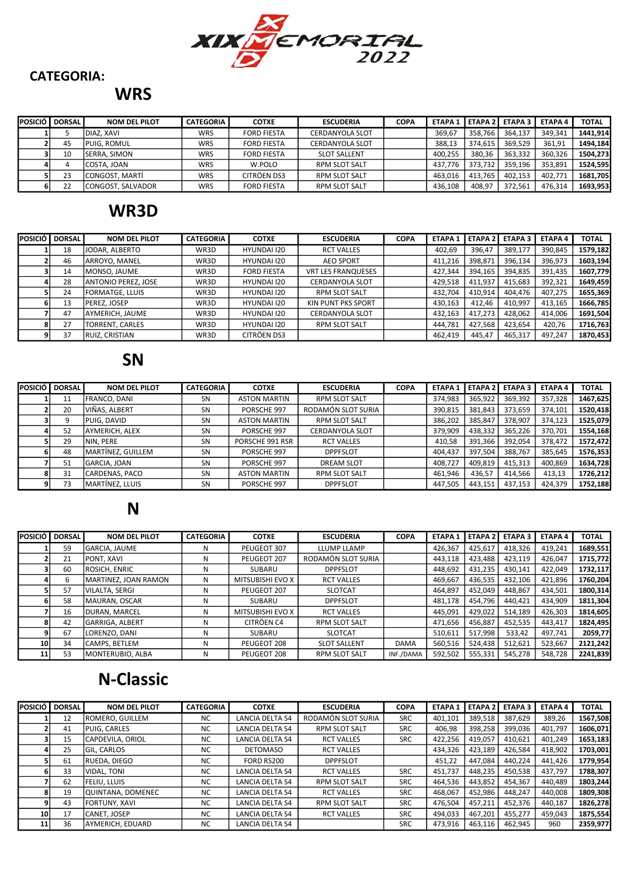

#### CATEGORIA:

### **WRS**

| POSICIÓ I | <b>DORSAL</b> | <b>NOM DEL PILOT</b> | <b>CATEGORIA</b> | <b>COTXE</b>       | <b>ESCUDERIA</b>       | <b>COPA</b> | <b>ETAPA 1</b> | <b>LETAPA 2</b> | <b>ETAPA 3</b> | <b>ETAPA4</b> | <b>TOTAL</b> |
|-----------|---------------|----------------------|------------------|--------------------|------------------------|-------------|----------------|-----------------|----------------|---------------|--------------|
|           |               | DIAZ. XAVI           | WRS              | <b>FORD FIESTA</b> | <b>CERDANYOLA SLOT</b> |             | 369,67         | 358.766         | 364.137        | 349.341       | 1441.914     |
|           | 45            | <b>PUIG. ROMUL</b>   | WRS              | <b>FORD FIESTA</b> | <b>CERDANYOLA SLOT</b> |             | 388,13         | 374.615         | 369.529        | 361,91        | 1494.184     |
|           | 10            | ISERRA. SIMON        | WRS              | <b>FORD FIESTA</b> | <b>SLOT SALLENT</b>    |             | 400.255        | 380.36          | 363.332        | 360.326       | 1504.273     |
|           |               | COSTA, JOAN          | WRS              | W.POLO             | <b>RPM SLOT SALT</b>   |             | 437.776        | 373.732         | 359.196        | 353.891       | 1524.595     |
|           | 23            | CONGOST. MARTÍ       | WRS              | CITRÖEN DS3        | <b>RPM SLOT SALT</b>   |             | 463.016        | 413.765         | 402.153        | 402,771       | 1681,705     |
|           | 22            | CONGOST, SALVADOR    | WRS              | <b>FORD FIESTA</b> | <b>RPM SLOT SALT</b>   |             | 436.108        | 408.97          | 372.561        | 476.314       | 1693.953     |

## WR3D

| <b>POSICIÓ</b> | <b>DORSAL</b> | <b>NOM DEL PILOT</b>       | <b>CATEGORIA</b> | <b>COTXE</b>       | <b>ESCUDERIA</b>          | <b>COPA</b> | <b>ETAPA 1</b> | <b>ETAPA 2</b> | <b>ETAPA3</b> | <b>ETAPA 4</b> | <b>TOTAL</b> |
|----------------|---------------|----------------------------|------------------|--------------------|---------------------------|-------------|----------------|----------------|---------------|----------------|--------------|
|                | 18            | JODAR. ALBERTO             | WR3D             | <b>HYUNDAI I20</b> | <b>RCT VALLES</b>         |             | 402,69         | 396.47         | 389,177       | 390.845        | 1579,182     |
|                | 46            | ARROYO, MANEL              | WR3D             | <b>HYUNDAI I20</b> | <b>AEO SPORT</b>          |             | 411,216        | 398,871        | 396,134       | 396,973        | 1603,194     |
|                | 14            | MONSO, JAUME               | WR3D             | <b>FORD FIESTA</b> | <b>VRT LES FRANQUESES</b> |             | 427,344        | 394,165        | 394,835       | 391,435        | 1607,779     |
|                | 28            | <b>ANTONIO PEREZ, JOSE</b> | WR3D             | <b>HYUNDAI I20</b> | CERDANYOLA SLOT           |             | 429,518        | 411,937        | 415,683       | 392,321        | 1649,459     |
|                | 24            | FORMATGE, LLUIS            | WR3D             | <b>HYUNDAI I20</b> | <b>RPM SLOT SALT</b>      |             | 432,704        | 410,914        | 404.476       | 407,275        | 1655,369     |
|                | 13            | PEREZ. JOSEP               | WR3D             | <b>HYUNDAI I20</b> | KIN PUNT PKS SPORT        |             | 430,163        | 412.46         | 410,997       | 413,165        | 1666,785     |
|                | 47            | AYMERICH, JAUME            | WR3D             | HYUNDAI 120        | CERDANYOLA SLOT           |             | 432,163        | 417,273        | 428,062       | 414,006        | 1691,504     |
|                | 27            | TORRENT, CARLES            | WR3D             | HYUNDAI 120        | <b>RPM SLOT SALT</b>      |             | 444,781        | 427,568        | 423,654       | 420,76         | 1716,763     |
|                | 37            | <b>RUIZ, CRISTIAN</b>      | WR3D             | CITRÖEN DS3        |                           |             | 462,419        | 445,47         | 465,317       | 497,247        | 1870,453     |

# SN

| POSICIÓ I DORSAL I | <b>NOM DEL PILOT</b>    | <b>CATEGORIA</b> | <b>COTXE</b>        | <b>ESCUDERIA</b>       | <b>COPA</b> | <b>ETAPA 1</b> | <b>ETAPA 2</b> | <b>ETAPA 3</b> | <b>ETAPA 4</b> | <b>TOTAL</b> |
|--------------------|-------------------------|------------------|---------------------|------------------------|-------------|----------------|----------------|----------------|----------------|--------------|
| 11                 | <b>IFRANCO, DANI</b>    | <b>SN</b>        | <b>ASTON MARTIN</b> | <b>RPM SLOT SALT</b>   |             | 374,983        | 365,922        | 369,392        | 357,328        | 1467,625     |
| 20                 | lviñas. Albert          | <b>SN</b>        | PORSCHE 997         | RODAMÓN SLOT SURIA     |             | 390,815        | 381,843        | 373,659        | 374,101        | 1520,418     |
|                    | <b>IPUIG. DAVID</b>     | <b>SN</b>        | <b>ASTON MARTIN</b> | <b>RPM SLOT SALT</b>   |             | 386,202        | 385,847        | 378,907        | 374,123        | 1525,079     |
| 52                 | AYMERICH, ALEX          | <b>SN</b>        | PORSCHE 997         | <b>CERDANYOLA SLOT</b> |             | 379,909        | 438,332        | 365,226        | 370,701        | 1554,168     |
| 29                 | ININ. PERE              | <b>SN</b>        | PORSCHE 991 RSR     | <b>RCT VALLES</b>      |             | 410,58         | 391,366        | 392,054        | 378,472        | 1572,472     |
| 48                 | MARTÍNEZ, GUILLEM       | <b>SN</b>        | PORSCHE 997         | <b>DPPFSLOT</b>        |             | 404,437        | 397,504        | 388,767        | 385,645        | 1576,353     |
| 51                 | GARCIA, JOAN            | SN               | PORSCHE 997         | <b>DREAM SLOT</b>      |             | 408,727        | 409,819        | 415,313        | 400,869        | 1634,728     |
| 31                 | ICARDENAS. PACO         | <b>SN</b>        | <b>ASTON MARTIN</b> | <b>RPM SLOT SALT</b>   |             | 461,946        | 436,57         | 414,566        | 413,13         | 1726,212     |
| 73                 | <b>IMARTÍNEZ. LLUIS</b> | SN               | PORSCHE 997         | <b>DPPFSLOT</b>        |             | 447,505        | 443,151        | 437,153        | 424,379        | 1752,188     |

### N

|      | POSICIÓ I DORSAL | <b>NOM DEL PILOT</b> | <b>CATEGORIA</b> | <b>COTXE</b>            | <b>ESCUDERIA</b>     | <b>COPA</b> | <b>ETAPA1</b> | <b>ETAPA 2</b> | <b>ETAPA3</b> | <b>ETAPA4</b> | <b>TOTAL</b> |
|------|------------------|----------------------|------------------|-------------------------|----------------------|-------------|---------------|----------------|---------------|---------------|--------------|
|      | 59               | <b>GARCIA, JAUME</b> | N                | PEUGEOT 307             | LLUMP LLAMP          |             | 426,367       | 425,617        | 418,326       | 419,241       | 1689,551     |
|      | 21               | <b>IPONT, XAVI</b>   | N                | PEUGEOT 207             | RODAMÓN SLOT SURIA   |             | 443,118       | 423,488        | 423,119       | 426,047       | 1715,772     |
|      | 60               | <b>ROSICH, ENRIC</b> | N                | SUBARU                  | <b>DPPFSLOT</b>      |             | 448,692       | 431,235        | 430.141       | 422,049       | 1732,117     |
|      |                  | MARTINEZ, JOAN RAMON | N                | <b>MITSUBISHI EVO X</b> | <b>RCT VALLES</b>    |             | 469,667       | 436,535        | 432,106       | 421,896       | 1760,204     |
|      | 57               | VILALTA, SERGI       | N                | PEUGEOT 207             | <b>SLOTCAT</b>       |             | 464,897       | 452.049        | 448.867       | 434,501       | 1800,314     |
|      | 58               | MAURAN, OSCAR        | N                | SUBARU                  | <b>DPPFSLOT</b>      |             | 481,178       | 454,796        | 440,421       | 434,909       | 1811,304     |
|      | 16               | DURAN, MARCEL        | N                | <b>MITSUBISHI EVO X</b> | <b>RCT VALLES</b>    |             | 445,091       | 429,022        | 514,189       | 426,303       | 1814,605     |
|      | 42               | IGARRIGA. ALBERT     | N                | CITRÖEN C4              | <b>RPM SLOT SALT</b> |             | 471.656       | 456,887        | 452.535       | 443.417       | 1824,495     |
|      | 67               | LORENZO, DANI        | N                | SUBARU                  | <b>SLOTCAT</b>       |             | 510,611       | 517,998        | 533,42        | 497.741       | 2059,77      |
| 10 l | 34               | <b>CAMPS, BETLEM</b> | N                | PEUGEOT 208             | <b>SLOT SALLENT</b>  | <b>DAMA</b> | 560,516       | 524,438        | 512,621       | 523,667       | 2121,242     |
| 11   | 53               | MONTERUBIO, ALBA     | N                | PEUGEOT 208             | <b>RPM SLOT SALT</b> | INF./DAMA   | 592,502       | 555,331        | 545,278       | 548,728       | 2241,839     |

# N-Classic

| POSICIÓ I       | <b>DORSAL</b> | <b>NOM DEL PILOT</b>      | <b>CATEGORIA</b> | <b>COTXE</b>           | <b>ESCUDERIA</b>     | <b>COPA</b> | <b>ETAPA1</b> | <b>ETAPA 2</b> | <b>ETAPA3</b> | <b>ETAPA4</b> | <b>TOTAL</b> |
|-----------------|---------------|---------------------------|------------------|------------------------|----------------------|-------------|---------------|----------------|---------------|---------------|--------------|
|                 | 12            | ROMERO, GUILLEM           | <b>NC</b>        | LANCIA DELTA S4        | RODAMÓN SLOT SURIA   | <b>SRC</b>  | 401,101       | 389,518        | 387,629       | 389,26        | 1567,508     |
|                 | 41            | PUIG. CARLES              | <b>NC</b>        | LANCIA DELTA S4        | <b>RPM SLOT SALT</b> | <b>SRC</b>  | 406,98        | 398,258        | 399.036       | 401.797       | 1606,071     |
|                 | 15            | CAPDEVILA, ORIOL          | <b>NC</b>        | <b>LANCIA DELTA S4</b> | <b>RCT VALLES</b>    | <b>SRC</b>  | 422,256       | 419,057        | 410.621       | 401,249       | 1653,183     |
|                 | 25            | <b>IGIL. CARLOS</b>       | <b>NC</b>        | <b>DETOMASO</b>        | <b>RCT VALLES</b>    |             | 434,326       | 423,189        | 426.584       | 418.902       | 1703,001     |
|                 | 61            | RUEDA, DIEGO              | <b>NC</b>        | FORD RS200             | <b>DPPFSLOT</b>      |             | 451,22        | 447.084        | 440.224       | 441,426       | 1779,954     |
|                 | 33            | VIDAL. TONI               | <b>NC</b>        | <b>LANCIA DELTA S4</b> | <b>RCT VALLES</b>    | <b>SRC</b>  | 451.737       | 448,235        | 450.538       | 437,797       | 1788,307     |
|                 | 62            | lfeliu. Lluis             | <b>NC</b>        | <b>LANCIA DELTA S4</b> | <b>RPM SLOT SALT</b> | <b>SRC</b>  | 464.536       | 443.852        | 454.367       | 440.489       | 1803,244     |
|                 | 19            | <b>JOUINTANA, DOMENEC</b> | <b>NC</b>        | LANCIA DELTA S4        | <b>RCT VALLES</b>    | <b>SRC</b>  | 468.067       | 452.986        | 448.247       | 440.008       | 1809,308     |
|                 | 43            | FORTUNY. XAVI             | <b>NC</b>        | <b>LANCIA DELTA S4</b> | <b>RPM SLOT SALT</b> | <b>SRC</b>  | 476,504       | 457,211        | 452,376       | 440.187       | 1826,278     |
| 10 <sup>1</sup> | 17            | <b>CANET. JOSEP</b>       | <b>NC</b>        | <b>LANCIA DELTA S4</b> | <b>RCT VALLES</b>    | <b>SRC</b>  | 494,033       | 467,201        | 455.277       | 459.043       | 1875,554     |
| 11              | 36            | AYMERICH, EDUARD          | <b>NC</b>        | <b>LANCIA DELTA S4</b> |                      | <b>SRC</b>  | 473,916       | 463,116        | 462,945       | 960           | 2359,977     |